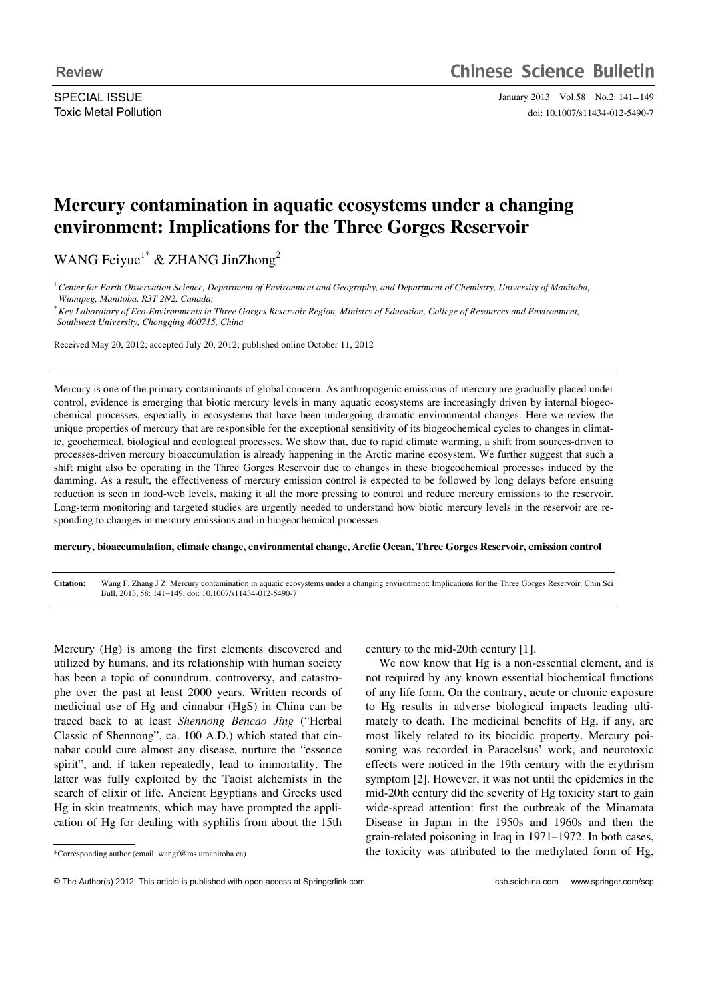SPECIAL ISSUE January 2013 Vol.58 No.2: 141-149 Toxic Metal Pollution doi: 10.1007/s11434-012-5490-7

# **Mercury contamination in aquatic ecosystems under a changing environment: Implications for the Three Gorges Reservoir**

WANG Feiyue<sup>1\*</sup> & ZHANG JinZhong<sup>2</sup>

<sup>1</sup>*Center for Earth Observation Science, Department of Environment and Geography, and Department of Chemistry, University of Manitoba, Winnipeg, Manitoba, R3T 2N2, Canada;* 

<sup>2</sup>*Key Laboratory of Eco-Environments in Three Gorges Reservoir Region, Ministry of Education, College of Resources and Environment, Southwest University, Chongqing 400715, China* 

Received May 20, 2012; accepted July 20, 2012; published online October 11, 2012

Mercury is one of the primary contaminants of global concern. As anthropogenic emissions of mercury are gradually placed under control, evidence is emerging that biotic mercury levels in many aquatic ecosystems are increasingly driven by internal biogeochemical processes, especially in ecosystems that have been undergoing dramatic environmental changes. Here we review the unique properties of mercury that are responsible for the exceptional sensitivity of its biogeochemical cycles to changes in climatic, geochemical, biological and ecological processes. We show that, due to rapid climate warming, a shift from sources-driven to processes-driven mercury bioaccumulation is already happening in the Arctic marine ecosystem. We further suggest that such a shift might also be operating in the Three Gorges Reservoir due to changes in these biogeochemical processes induced by the damming. As a result, the effectiveness of mercury emission control is expected to be followed by long delays before ensuing reduction is seen in food-web levels, making it all the more pressing to control and reduce mercury emissions to the reservoir. Long-term monitoring and targeted studies are urgently needed to understand how biotic mercury levels in the reservoir are responding to changes in mercury emissions and in biogeochemical processes.

**mercury, bioaccumulation, climate change, environmental change, Arctic Ocean, Three Gorges Reservoir, emission control** 

**Citation:** Wang F, Zhang J Z. Mercury contamination in aquatic ecosystems under a changing environment: Implications for the Three Gorges Reservoir. Chin Sci Bull, 2013, 58: 141-149, doi: 10.1007/s11434-012-5490-7

Mercury (Hg) is among the first elements discovered and utilized by humans, and its relationship with human society has been a topic of conundrum, controversy, and catastrophe over the past at least 2000 years. Written records of medicinal use of Hg and cinnabar (HgS) in China can be traced back to at least *Shennong Bencao Jing* ("Herbal Classic of Shennong", ca. 100 A.D.) which stated that cinnabar could cure almost any disease, nurture the "essence spirit", and, if taken repeatedly, lead to immortality. The latter was fully exploited by the Taoist alchemists in the search of elixir of life. Ancient Egyptians and Greeks used Hg in skin treatments, which may have prompted the application of Hg for dealing with syphilis from about the 15th

l

century to the mid-20th century [1].

We now know that Hg is a non-essential element, and is not required by any known essential biochemical functions of any life form. On the contrary, acute or chronic exposure to Hg results in adverse biological impacts leading ultimately to death. The medicinal benefits of Hg, if any, are most likely related to its biocidic property. Mercury poisoning was recorded in Paracelsus' work, and neurotoxic effects were noticed in the 19th century with the erythrism symptom [2]. However, it was not until the epidemics in the mid-20th century did the severity of Hg toxicity start to gain wide-spread attention: first the outbreak of the Minamata Disease in Japan in the 1950s and 1960s and then the grain-related poisoning in Iraq in 1971–1972. In both cases, the toxicity was attributed to the methylated form of Hg,

<sup>\*</sup>Corresponding author (email: wangf@ms.umanitoba.ca)

<sup>©</sup> The Author(s) 2012. This article is published with open access at Springerlink.com csb.scichina.com www.springer.com/scp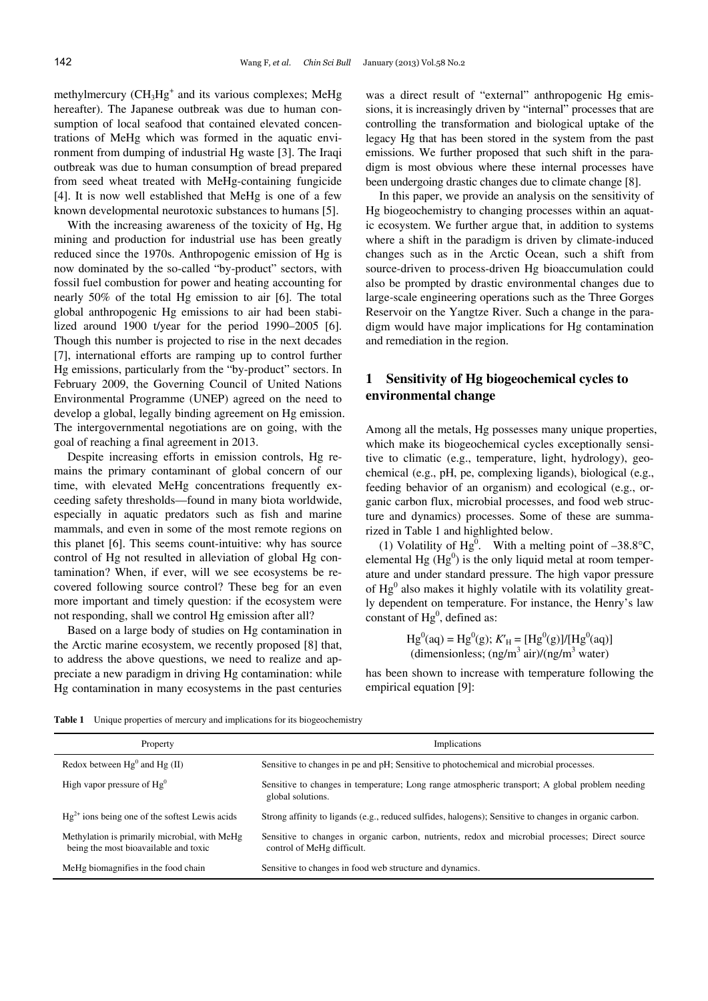methylmercury (CH<sub>3</sub>Hg<sup>+</sup> and its various complexes; MeHg hereafter). The Japanese outbreak was due to human consumption of local seafood that contained elevated concentrations of MeHg which was formed in the aquatic environment from dumping of industrial Hg waste [3]. The Iraqi outbreak was due to human consumption of bread prepared from seed wheat treated with MeHg-containing fungicide [4]. It is now well established that MeHg is one of a few known developmental neurotoxic substances to humans [5].

With the increasing awareness of the toxicity of Hg, Hg mining and production for industrial use has been greatly reduced since the 1970s. Anthropogenic emission of Hg is now dominated by the so-called "by-product" sectors, with fossil fuel combustion for power and heating accounting for nearly 50% of the total Hg emission to air [6]. The total global anthropogenic Hg emissions to air had been stabilized around 1900 t/year for the period 1990–2005 [6]. Though this number is projected to rise in the next decades [7], international efforts are ramping up to control further Hg emissions, particularly from the "by-product" sectors. In February 2009, the Governing Council of United Nations Environmental Programme (UNEP) agreed on the need to develop a global, legally binding agreement on Hg emission. The intergovernmental negotiations are on going, with the goal of reaching a final agreement in 2013.

Despite increasing efforts in emission controls, Hg remains the primary contaminant of global concern of our time, with elevated MeHg concentrations frequently exceeding safety thresholds—found in many biota worldwide, especially in aquatic predators such as fish and marine mammals, and even in some of the most remote regions on this planet [6]. This seems count-intuitive: why has source control of Hg not resulted in alleviation of global Hg contamination? When, if ever, will we see ecosystems be recovered following source control? These beg for an even more important and timely question: if the ecosystem were not responding, shall we control Hg emission after all?

Based on a large body of studies on Hg contamination in the Arctic marine ecosystem, we recently proposed [8] that, to address the above questions, we need to realize and appreciate a new paradigm in driving Hg contamination: while Hg contamination in many ecosystems in the past centuries was a direct result of "external" anthropogenic Hg emissions, it is increasingly driven by "internal" processes that are controlling the transformation and biological uptake of the legacy Hg that has been stored in the system from the past emissions. We further proposed that such shift in the paradigm is most obvious where these internal processes have been undergoing drastic changes due to climate change [8].

In this paper, we provide an analysis on the sensitivity of Hg biogeochemistry to changing processes within an aquatic ecosystem. We further argue that, in addition to systems where a shift in the paradigm is driven by climate-induced changes such as in the Arctic Ocean, such a shift from source-driven to process-driven Hg bioaccumulation could also be prompted by drastic environmental changes due to large-scale engineering operations such as the Three Gorges Reservoir on the Yangtze River. Such a change in the paradigm would have major implications for Hg contamination and remediation in the region.

## **1 Sensitivity of Hg biogeochemical cycles to environmental change**

Among all the metals, Hg possesses many unique properties, which make its biogeochemical cycles exceptionally sensitive to climatic (e.g., temperature, light, hydrology), geochemical (e.g., pH, pe, complexing ligands), biological (e.g., feeding behavior of an organism) and ecological (e.g., organic carbon flux, microbial processes, and food web structure and dynamics) processes. Some of these are summarized in Table 1 and highlighted below.

(1) Volatility of Hg<sup>0</sup>. With a melting point of  $-38.8^{\circ}$ C, elemental Hg  $(Hg^0)$  is the only liquid metal at room temperature and under standard pressure. The high vapor pressure of  $Hg^0$  also makes it highly volatile with its volatility greatly dependent on temperature. For instance, the Henry's law constant of  $Hg^0$ , defined as:

Hg<sup>0</sup>(aq) = Hg<sup>0</sup>(g); 
$$
K'_H
$$
 = [Hg<sup>0</sup>(g)]/[Hg<sup>0</sup>(aq)]  
(dimensionless; (ng/m<sup>3</sup> air)/(ng/m<sup>3</sup> water)

has been shown to increase with temperature following the empirical equation [9]:

**Table 1** Unique properties of mercury and implications for its biogeochemistry

| Property                                                                               | Implications                                                                                                                  |  |
|----------------------------------------------------------------------------------------|-------------------------------------------------------------------------------------------------------------------------------|--|
| Redox between $Hg^0$ and $Hg$ (II)                                                     | Sensitive to changes in pe and pH; Sensitive to photochemical and microbial processes.                                        |  |
| High vapor pressure of $Hg^0$                                                          | Sensitive to changes in temperature; Long range atmospheric transport; A global problem needing<br>global solutions.          |  |
| $Hg2+$ ions being one of the softest Lewis acids                                       | Strong affinity to ligands (e.g., reduced sulfides, halogens); Sensitive to changes in organic carbon.                        |  |
| Methylation is primarily microbial, with MeHg<br>being the most bioavailable and toxic | Sensitive to changes in organic carbon, nutrients, redox and microbial processes; Direct source<br>control of MeHg difficult. |  |
| MeHg biomagnifies in the food chain                                                    | Sensitive to changes in food web structure and dynamics.                                                                      |  |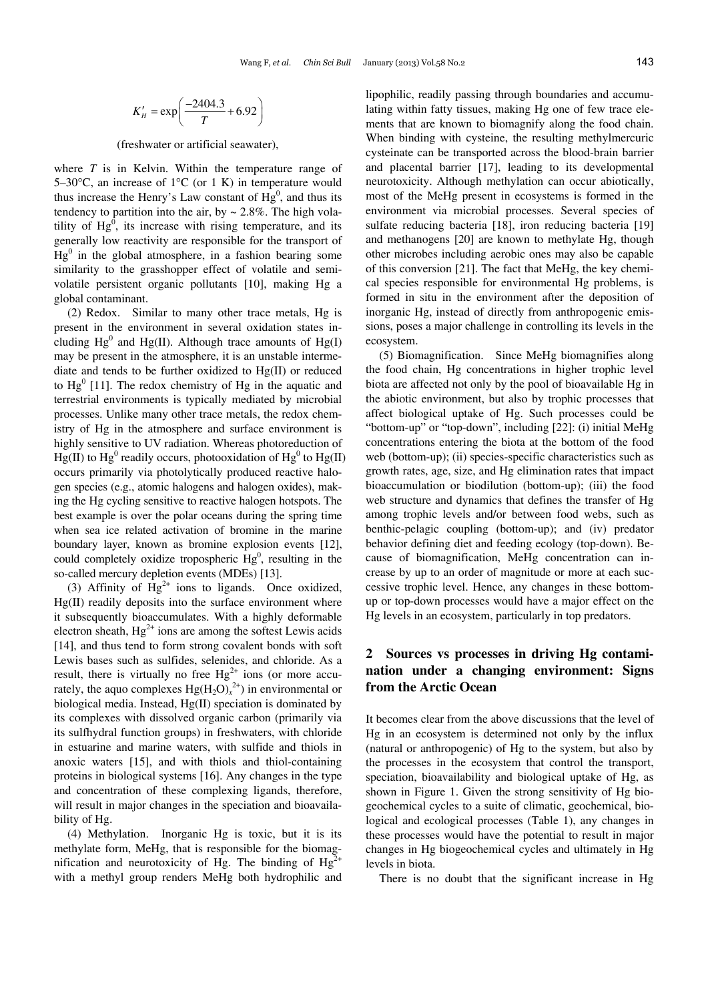$$
K_H' = \exp\left(\frac{-2404.3}{T} + 6.92\right)
$$

(freshwater or artificial seawater),

where *T* is in Kelvin. Within the temperature range of 5–30 $\degree$ C, an increase of 1 $\degree$ C (or 1 K) in temperature would thus increase the Henry's Law constant of  $Hg^0$ , and thus its tendency to partition into the air, by  $\sim 2.8\%$ . The high volatility of  $Hg^0$ , its increase with rising temperature, and its generally low reactivity are responsible for the transport of  $Hg<sup>0</sup>$  in the global atmosphere, in a fashion bearing some similarity to the grasshopper effect of volatile and semivolatile persistent organic pollutants [10], making Hg a global contaminant.

(2) Redox.Similar to many other trace metals, Hg is present in the environment in several oxidation states including  $Hg^0$  and Hg(II). Although trace amounts of Hg(I) may be present in the atmosphere, it is an unstable intermediate and tends to be further oxidized to Hg(II) or reduced to  $Hg^0$  [11]. The redox chemistry of Hg in the aquatic and terrestrial environments is typically mediated by microbial processes. Unlike many other trace metals, the redox chemistry of Hg in the atmosphere and surface environment is highly sensitive to UV radiation. Whereas photoreduction of  $Hg(II)$  to  $Hg<sup>0</sup>$  readily occurs, photooxidation of  $Hg<sup>0</sup>$  to  $Hg(II)$ occurs primarily via photolytically produced reactive halogen species (e.g., atomic halogens and halogen oxides), making the Hg cycling sensitive to reactive halogen hotspots. The best example is over the polar oceans during the spring time when sea ice related activation of bromine in the marine boundary layer, known as bromine explosion events [12], could completely oxidize tropospheric  $Hg^0$ , resulting in the so-called mercury depletion events (MDEs) [13].

(3) Affinity of  $Hg^{2+}$  ions to ligands. Once oxidized, Hg(II) readily deposits into the surface environment where it subsequently bioaccumulates. With a highly deformable electron sheath,  $Hg^{2+}$  ions are among the softest Lewis acids [14], and thus tend to form strong covalent bonds with soft Lewis bases such as sulfides, selenides, and chloride. As a result, there is virtually no free  $Hg^{2+}$  ions (or more accurately, the aquo complexes  $Hg(H_2O)_x^{2+}$  in environmental or biological media. Instead, Hg(II) speciation is dominated by its complexes with dissolved organic carbon (primarily via its sulfhydral function groups) in freshwaters, with chloride in estuarine and marine waters, with sulfide and thiols in anoxic waters [15], and with thiols and thiol-containing proteins in biological systems [16]. Any changes in the type and concentration of these complexing ligands, therefore, will result in major changes in the speciation and bioavailability of Hg.

(4) Methylation. Inorganic Hg is toxic, but it is its methylate form, MeHg, that is responsible for the biomagnification and neurotoxicity of Hg. The binding of  $Hg^{2+}$ with a methyl group renders MeHg both hydrophilic and lipophilic, readily passing through boundaries and accumulating within fatty tissues, making Hg one of few trace elements that are known to biomagnify along the food chain. When binding with cysteine, the resulting methylmercuric cysteinate can be transported across the blood-brain barrier and placental barrier [17], leading to its developmental neurotoxicity. Although methylation can occur abiotically, most of the MeHg present in ecosystems is formed in the environment via microbial processes. Several species of sulfate reducing bacteria [18], iron reducing bacteria [19] and methanogens [20] are known to methylate Hg, though other microbes including aerobic ones may also be capable of this conversion [21]. The fact that MeHg, the key chemical species responsible for environmental Hg problems, is formed in situ in the environment after the deposition of inorganic Hg, instead of directly from anthropogenic emissions, poses a major challenge in controlling its levels in the ecosystem.

(5) Biomagnification. Since MeHg biomagnifies along the food chain, Hg concentrations in higher trophic level biota are affected not only by the pool of bioavailable Hg in the abiotic environment, but also by trophic processes that affect biological uptake of Hg. Such processes could be "bottom-up" or "top-down", including [22]: (i) initial MeHg concentrations entering the biota at the bottom of the food web (bottom-up); (ii) species-specific characteristics such as growth rates, age, size, and Hg elimination rates that impact bioaccumulation or biodilution (bottom-up); (iii) the food web structure and dynamics that defines the transfer of Hg among trophic levels and/or between food webs, such as benthic-pelagic coupling (bottom-up); and (iv) predator behavior defining diet and feeding ecology (top-down). Because of biomagnification, MeHg concentration can increase by up to an order of magnitude or more at each successive trophic level. Hence, any changes in these bottomup or top-down processes would have a major effect on the Hg levels in an ecosystem, particularly in top predators.

## **2 Sources vs processes in driving Hg contamination under a changing environment: Signs from the Arctic Ocean**

It becomes clear from the above discussions that the level of Hg in an ecosystem is determined not only by the influx (natural or anthropogenic) of Hg to the system, but also by the processes in the ecosystem that control the transport, speciation, bioavailability and biological uptake of Hg, as shown in Figure 1. Given the strong sensitivity of Hg biogeochemical cycles to a suite of climatic, geochemical, biological and ecological processes (Table 1), any changes in these processes would have the potential to result in major changes in Hg biogeochemical cycles and ultimately in Hg levels in biota.

There is no doubt that the significant increase in Hg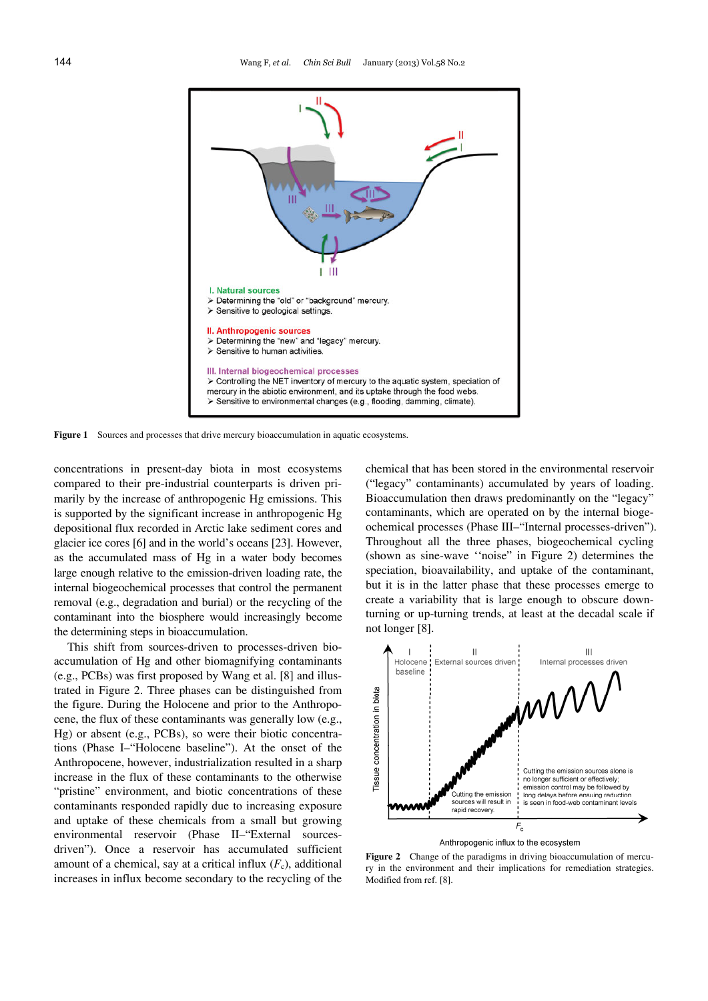

Figure 1 Sources and processes that drive mercury bioaccumulation in aquatic ecosystems.

concentrations in present-day biota in most ecosystems compared to their pre-industrial counterparts is driven primarily by the increase of anthropogenic Hg emissions. This is supported by the significant increase in anthropogenic Hg depositional flux recorded in Arctic lake sediment cores and glacier ice cores [6] and in the world's oceans [23]. However, as the accumulated mass of Hg in a water body becomes large enough relative to the emission-driven loading rate, the internal biogeochemical processes that control the permanent removal (e.g., degradation and burial) or the recycling of the contaminant into the biosphere would increasingly become the determining steps in bioaccumulation.

This shift from sources-driven to processes-driven bioaccumulation of Hg and other biomagnifying contaminants (e.g., PCBs) was first proposed by Wang et al. [8] and illustrated in Figure 2. Three phases can be distinguished from the figure. During the Holocene and prior to the Anthropocene, the flux of these contaminants was generally low (e.g., Hg) or absent (e.g., PCBs), so were their biotic concentrations (Phase I–"Holocene baseline"). At the onset of the Anthropocene, however, industrialization resulted in a sharp increase in the flux of these contaminants to the otherwise "pristine" environment, and biotic concentrations of these contaminants responded rapidly due to increasing exposure and uptake of these chemicals from a small but growing environmental reservoir (Phase II–"External sourcesdriven"). Once a reservoir has accumulated sufficient amount of a chemical, say at a critical influx  $(F_c)$ , additional increases in influx become secondary to the recycling of the

chemical that has been stored in the environmental reservoir ("legacy" contaminants) accumulated by years of loading. Bioaccumulation then draws predominantly on the "legacy" contaminants, which are operated on by the internal biogeochemical processes (Phase III–"Internal processes-driven"). Throughout all the three phases, biogeochemical cycling (shown as sine-wave ''noise" in Figure 2) determines the speciation, bioavailability, and uptake of the contaminant, but it is in the latter phase that these processes emerge to create a variability that is large enough to obscure downturning or up-turning trends, at least at the decadal scale if not longer [8].



Anthropogenic influx to the ecosystem

**Figure 2** Change of the paradigms in driving bioaccumulation of mercury in the environment and their implications for remediation strategies. Modified from ref. [8].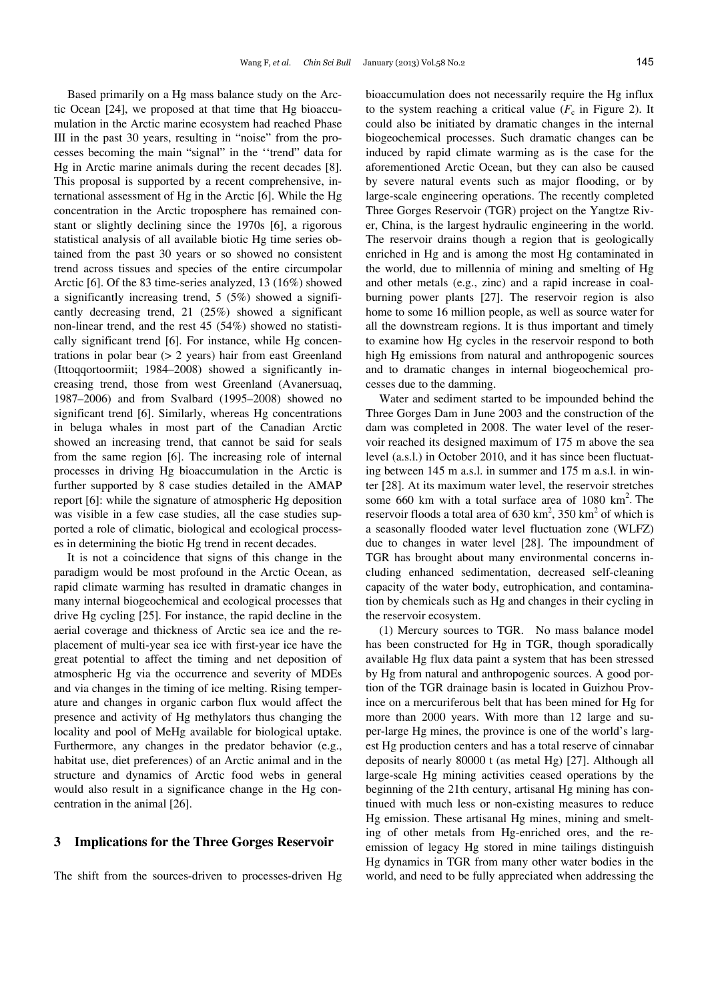Based primarily on a Hg mass balance study on the Arctic Ocean [24], we proposed at that time that Hg bioaccumulation in the Arctic marine ecosystem had reached Phase III in the past 30 years, resulting in "noise" from the processes becoming the main "signal" in the ''trend" data for Hg in Arctic marine animals during the recent decades [8]. This proposal is supported by a recent comprehensive, international assessment of Hg in the Arctic [6]. While the Hg concentration in the Arctic troposphere has remained constant or slightly declining since the 1970s [6], a rigorous statistical analysis of all available biotic Hg time series obtained from the past 30 years or so showed no consistent trend across tissues and species of the entire circumpolar Arctic [6]. Of the 83 time-series analyzed, 13 (16%) showed a significantly increasing trend, 5 (5%) showed a significantly decreasing trend, 21 (25%) showed a significant non-linear trend, and the rest 45 (54%) showed no statistically significant trend [6]. For instance, while Hg concentrations in polar bear (> 2 years) hair from east Greenland (Ittoqqortoormiit; 1984–2008) showed a significantly increasing trend, those from west Greenland (Avanersuaq, 1987–2006) and from Svalbard (1995–2008) showed no significant trend [6]. Similarly, whereas Hg concentrations in beluga whales in most part of the Canadian Arctic showed an increasing trend, that cannot be said for seals from the same region [6]. The increasing role of internal processes in driving Hg bioaccumulation in the Arctic is further supported by 8 case studies detailed in the AMAP report [6]: while the signature of atmospheric Hg deposition was visible in a few case studies, all the case studies supported a role of climatic, biological and ecological processes in determining the biotic Hg trend in recent decades.

It is not a coincidence that signs of this change in the paradigm would be most profound in the Arctic Ocean, as rapid climate warming has resulted in dramatic changes in many internal biogeochemical and ecological processes that drive Hg cycling [25]. For instance, the rapid decline in the aerial coverage and thickness of Arctic sea ice and the replacement of multi-year sea ice with first-year ice have the great potential to affect the timing and net deposition of atmospheric Hg via the occurrence and severity of MDEs and via changes in the timing of ice melting. Rising temperature and changes in organic carbon flux would affect the presence and activity of Hg methylators thus changing the locality and pool of MeHg available for biological uptake. Furthermore, any changes in the predator behavior (e.g., habitat use, diet preferences) of an Arctic animal and in the structure and dynamics of Arctic food webs in general would also result in a significance change in the Hg concentration in the animal [26].

#### **3 Implications for the Three Gorges Reservoir**

The shift from the sources-driven to processes-driven Hg

bioaccumulation does not necessarily require the Hg influx to the system reaching a critical value  $(F_c$  in Figure 2). It could also be initiated by dramatic changes in the internal biogeochemical processes. Such dramatic changes can be induced by rapid climate warming as is the case for the aforementioned Arctic Ocean, but they can also be caused by severe natural events such as major flooding, or by large-scale engineering operations. The recently completed Three Gorges Reservoir (TGR) project on the Yangtze River, China, is the largest hydraulic engineering in the world. The reservoir drains though a region that is geologically enriched in Hg and is among the most Hg contaminated in the world, due to millennia of mining and smelting of Hg and other metals (e.g., zinc) and a rapid increase in coalburning power plants [27]. The reservoir region is also home to some 16 million people, as well as source water for all the downstream regions. It is thus important and timely to examine how Hg cycles in the reservoir respond to both high Hg emissions from natural and anthropogenic sources and to dramatic changes in internal biogeochemical processes due to the damming.

Water and sediment started to be impounded behind the Three Gorges Dam in June 2003 and the construction of the dam was completed in 2008. The water level of the reservoir reached its designed maximum of 175 m above the sea level (a.s.l.) in October 2010, and it has since been fluctuating between 145 m a.s.l. in summer and 175 m a.s.l. in winter [28]. At its maximum water level, the reservoir stretches some 660 km with a total surface area of  $1080 \text{ km}^2$ . The reservoir floods a total area of  $630 \text{ km}^2$ ,  $350 \text{ km}^2$  of which is a seasonally flooded water level fluctuation zone (WLFZ) due to changes in water level [28]. The impoundment of TGR has brought about many environmental concerns including enhanced sedimentation, decreased self-cleaning capacity of the water body, eutrophication, and contamination by chemicals such as Hg and changes in their cycling in the reservoir ecosystem.

(1) Mercury sources to TGR. No mass balance model has been constructed for Hg in TGR, though sporadically available Hg flux data paint a system that has been stressed by Hg from natural and anthropogenic sources. A good portion of the TGR drainage basin is located in Guizhou Province on a mercuriferous belt that has been mined for Hg for more than 2000 years. With more than 12 large and super-large Hg mines, the province is one of the world's largest Hg production centers and has a total reserve of cinnabar deposits of nearly 80000 t (as metal Hg) [27]. Although all large-scale Hg mining activities ceased operations by the beginning of the 21th century, artisanal Hg mining has continued with much less or non-existing measures to reduce Hg emission. These artisanal Hg mines, mining and smelting of other metals from Hg-enriched ores, and the reemission of legacy Hg stored in mine tailings distinguish Hg dynamics in TGR from many other water bodies in the world, and need to be fully appreciated when addressing the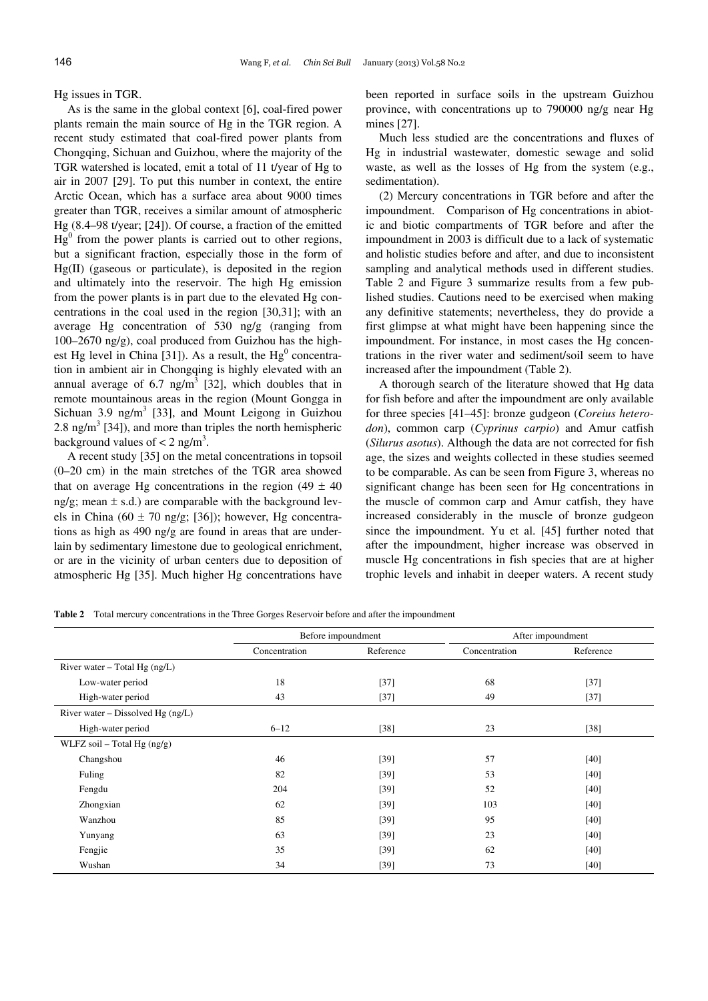#### Hg issues in TGR.

As is the same in the global context [6], coal-fired power plants remain the main source of Hg in the TGR region. A recent study estimated that coal-fired power plants from Chongqing, Sichuan and Guizhou, where the majority of the TGR watershed is located, emit a total of 11 t/year of Hg to air in 2007 [29]. To put this number in context, the entire Arctic Ocean, which has a surface area about 9000 times greater than TGR, receives a similar amount of atmospheric Hg (8.4–98 t/year; [24]). Of course, a fraction of the emitted  $Hg<sup>0</sup>$  from the power plants is carried out to other regions, but a significant fraction, especially those in the form of Hg(II) (gaseous or particulate), is deposited in the region and ultimately into the reservoir. The high Hg emission from the power plants is in part due to the elevated Hg concentrations in the coal used in the region [30,31]; with an average Hg concentration of 530 ng/g (ranging from 100–2670 ng/g), coal produced from Guizhou has the highest Hg level in China [31]). As a result, the  $Hg^0$  concentration in ambient air in Chongqing is highly elevated with an annual average of 6.7 ng/ $m^3$  [32], which doubles that in remote mountainous areas in the region (Mount Gongga in Sichuan 3.9 ng/ $m^3$  [33], and Mount Leigong in Guizhou 2.8 ng/m<sup>3</sup> [34]), and more than triples the north hemispheric background values of  $< 2$  ng/m<sup>3</sup>.

A recent study [35] on the metal concentrations in topsoil (0–20 cm) in the main stretches of the TGR area showed that on average Hg concentrations in the region  $(49 \pm 40)$ ng/g; mean  $\pm$  s.d.) are comparable with the background levels in China (60  $\pm$  70 ng/g; [36]); however, Hg concentrations as high as 490 ng/g are found in areas that are underlain by sedimentary limestone due to geological enrichment, or are in the vicinity of urban centers due to deposition of atmospheric Hg [35]. Much higher Hg concentrations have

been reported in surface soils in the upstream Guizhou province, with concentrations up to 790000 ng/g near Hg mines [27].

Much less studied are the concentrations and fluxes of Hg in industrial wastewater, domestic sewage and solid waste, as well as the losses of Hg from the system (e.g., sedimentation).

(2) Mercury concentrations in TGR before and after the impoundment.Comparison of Hg concentrations in abiotic and biotic compartments of TGR before and after the impoundment in 2003 is difficult due to a lack of systematic and holistic studies before and after, and due to inconsistent sampling and analytical methods used in different studies. Table 2 and Figure 3 summarize results from a few published studies. Cautions need to be exercised when making any definitive statements; nevertheless, they do provide a first glimpse at what might have been happening since the impoundment. For instance, in most cases the Hg concentrations in the river water and sediment/soil seem to have increased after the impoundment (Table 2).

A thorough search of the literature showed that Hg data for fish before and after the impoundment are only available for three species [41–45]: bronze gudgeon (*Coreius heterodon*), common carp (*Cyprinus carpio*) and Amur catfish (*Silurus asotus*). Although the data are not corrected for fish age, the sizes and weights collected in these studies seemed to be comparable. As can be seen from Figure 3, whereas no significant change has been seen for Hg concentrations in the muscle of common carp and Amur catfish, they have increased considerably in the muscle of bronze gudgeon since the impoundment. Yu et al. [45] further noted that after the impoundment, higher increase was observed in muscle Hg concentrations in fish species that are at higher trophic levels and inhabit in deeper waters. A recent study

**Table 2** Total mercury concentrations in the Three Gorges Reservoir before and after the impoundment

|                                   | Before impoundment |           | After impoundment |           |
|-----------------------------------|--------------------|-----------|-------------------|-----------|
|                                   | Concentration      | Reference | Concentration     | Reference |
| River water - Total Hg (ng/L)     |                    |           |                   |           |
| Low-water period                  | 18                 | $[37]$    | 68                | $[37]$    |
| High-water period                 | 43                 | $[37]$    | 49                | $[37]$    |
| River water - Dissolved Hg (ng/L) |                    |           |                   |           |
| High-water period                 | $6 - 12$           | $[38]$    | 23                | $[38]$    |
| WLFZ soil - Total Hg (ng/g)       |                    |           |                   |           |
| Changshou                         | 46                 | [39]      | 57                | [40]      |
| Fuling                            | 82                 | $[39]$    | 53                | $[40]$    |
| Fengdu                            | 204                | $[39]$    | 52                | $[40]$    |
| Zhongxian                         | 62                 | $[39]$    | 103               | $[40]$    |
| Wanzhou                           | 85                 | [39]      | 95                | $[40]$    |
| Yunyang                           | 63                 | $[39]$    | 23                | $[40]$    |
| Fengjie                           | 35                 | [39]      | 62                | $[40]$    |
| Wushan                            | 34                 | [39]      | 73                | $[40]$    |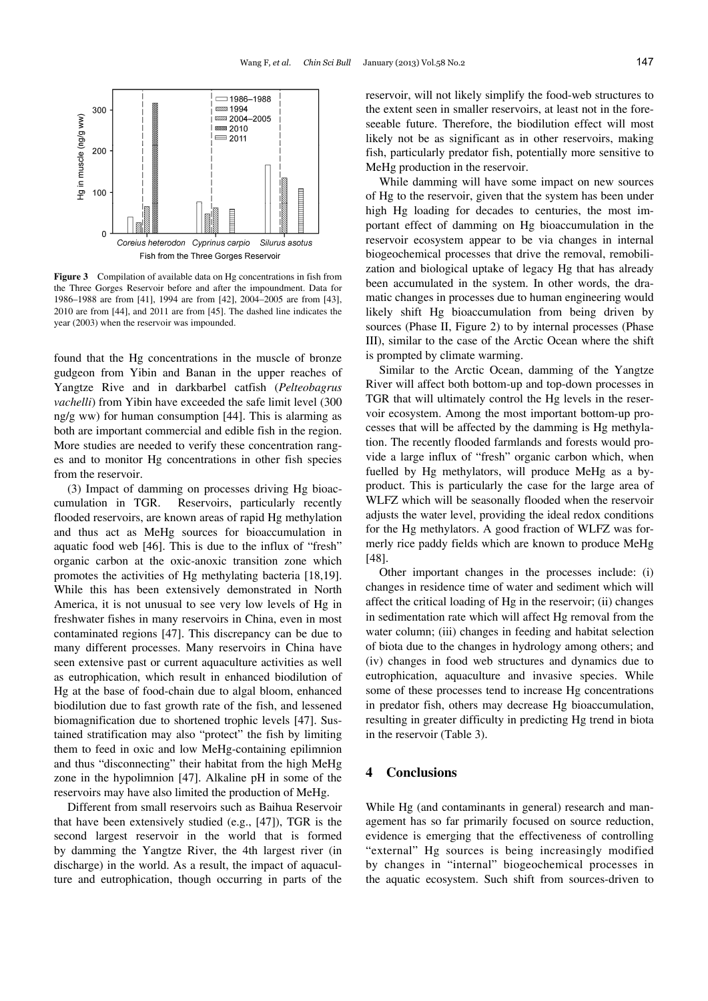

**Figure 3** Compilation of available data on Hg concentrations in fish from the Three Gorges Reservoir before and after the impoundment. Data for 1986–1988 are from [41], 1994 are from [42], 2004–2005 are from [43], 2010 are from [44], and 2011 are from [45]. The dashed line indicates the year (2003) when the reservoir was impounded.

found that the Hg concentrations in the muscle of bronze gudgeon from Yibin and Banan in the upper reaches of Yangtze Rive and in darkbarbel catfish (*Pelteobagrus vachelli*) from Yibin have exceeded the safe limit level (300 ng/g ww) for human consumption [44]. This is alarming as both are important commercial and edible fish in the region. More studies are needed to verify these concentration ranges and to monitor Hg concentrations in other fish species from the reservoir.

(3) Impact of damming on processes driving Hg bioaccumulation in TGR. Reservoirs, particularly recently flooded reservoirs, are known areas of rapid Hg methylation and thus act as MeHg sources for bioaccumulation in aquatic food web [46]. This is due to the influx of "fresh" organic carbon at the oxic-anoxic transition zone which promotes the activities of Hg methylating bacteria [18,19]. While this has been extensively demonstrated in North America, it is not unusual to see very low levels of Hg in freshwater fishes in many reservoirs in China, even in most contaminated regions [47]. This discrepancy can be due to many different processes. Many reservoirs in China have seen extensive past or current aquaculture activities as well as eutrophication, which result in enhanced biodilution of Hg at the base of food-chain due to algal bloom, enhanced biodilution due to fast growth rate of the fish, and lessened biomagnification due to shortened trophic levels [47]. Sustained stratification may also "protect" the fish by limiting them to feed in oxic and low MeHg-containing epilimnion and thus "disconnecting" their habitat from the high MeHg zone in the hypolimnion [47]. Alkaline pH in some of the reservoirs may have also limited the production of MeHg.

Different from small reservoirs such as Baihua Reservoir that have been extensively studied (e.g., [47]), TGR is the second largest reservoir in the world that is formed by damming the Yangtze River, the 4th largest river (in discharge) in the world. As a result, the impact of aquaculture and eutrophication, though occurring in parts of the

reservoir, will not likely simplify the food-web structures to the extent seen in smaller reservoirs, at least not in the foreseeable future. Therefore, the biodilution effect will most likely not be as significant as in other reservoirs, making fish, particularly predator fish, potentially more sensitive to MeHg production in the reservoir.

While damming will have some impact on new sources of Hg to the reservoir, given that the system has been under high Hg loading for decades to centuries, the most important effect of damming on Hg bioaccumulation in the reservoir ecosystem appear to be via changes in internal biogeochemical processes that drive the removal, remobilization and biological uptake of legacy Hg that has already been accumulated in the system. In other words, the dramatic changes in processes due to human engineering would likely shift Hg bioaccumulation from being driven by sources (Phase II, Figure 2) to by internal processes (Phase III), similar to the case of the Arctic Ocean where the shift is prompted by climate warming.

Similar to the Arctic Ocean, damming of the Yangtze River will affect both bottom-up and top-down processes in TGR that will ultimately control the Hg levels in the reservoir ecosystem. Among the most important bottom-up processes that will be affected by the damming is Hg methylation. The recently flooded farmlands and forests would provide a large influx of "fresh" organic carbon which, when fuelled by Hg methylators, will produce MeHg as a byproduct. This is particularly the case for the large area of WLFZ which will be seasonally flooded when the reservoir adjusts the water level, providing the ideal redox conditions for the Hg methylators. A good fraction of WLFZ was formerly rice paddy fields which are known to produce MeHg [48].

Other important changes in the processes include: (i) changes in residence time of water and sediment which will affect the critical loading of Hg in the reservoir; (ii) changes in sedimentation rate which will affect Hg removal from the water column; (iii) changes in feeding and habitat selection of biota due to the changes in hydrology among others; and (iv) changes in food web structures and dynamics due to eutrophication, aquaculture and invasive species. While some of these processes tend to increase Hg concentrations in predator fish, others may decrease Hg bioaccumulation, resulting in greater difficulty in predicting Hg trend in biota in the reservoir (Table 3).

### **4 Conclusions**

While Hg (and contaminants in general) research and management has so far primarily focused on source reduction, evidence is emerging that the effectiveness of controlling "external" Hg sources is being increasingly modified by changes in "internal" biogeochemical processes in the aquatic ecosystem. Such shift from sources-driven to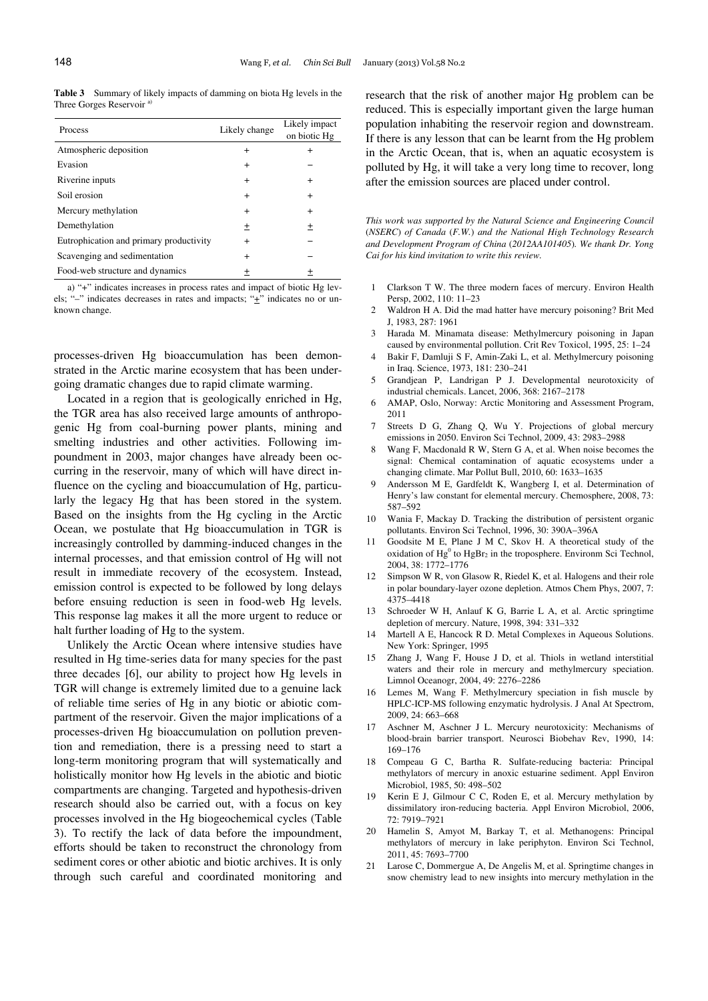**Table 3** Summary of likely impacts of damming on biota Hg levels in the Three Gorges Reservoir<sup>a)</sup>

| Process                                 | Likely change | Likely impact<br>on biotic Hg |
|-----------------------------------------|---------------|-------------------------------|
| Atmospheric deposition                  | $\ddot{}$     | $\ddot{}$                     |
| Evasion                                 | $\ddot{}$     |                               |
| Riverine inputs                         | $\ddot{}$     | $\overline{+}$                |
| Soil erosion                            | $+$           | $\pm$                         |
| Mercury methylation                     | $\ddot{}$     | $\pm$                         |
| Demethylation                           | 土             | 土                             |
| Eutrophication and primary productivity | $+$           |                               |
| Scavenging and sedimentation            | $+$           |                               |
| Food-web structure and dynamics         | 土             | +                             |

a) "+" indicates increases in process rates and impact of biotic Hg levels; "-" indicates decreases in rates and impacts; " $\pm$ " indicates no or unknown change.

processes-driven Hg bioaccumulation has been demonstrated in the Arctic marine ecosystem that has been undergoing dramatic changes due to rapid climate warming.

Located in a region that is geologically enriched in Hg, the TGR area has also received large amounts of anthropogenic Hg from coal-burning power plants, mining and smelting industries and other activities. Following impoundment in 2003, major changes have already been occurring in the reservoir, many of which will have direct influence on the cycling and bioaccumulation of Hg, particularly the legacy Hg that has been stored in the system. Based on the insights from the Hg cycling in the Arctic Ocean, we postulate that Hg bioaccumulation in TGR is increasingly controlled by damming-induced changes in the internal processes, and that emission control of Hg will not result in immediate recovery of the ecosystem. Instead, emission control is expected to be followed by long delays before ensuing reduction is seen in food-web Hg levels. This response lag makes it all the more urgent to reduce or halt further loading of Hg to the system.

Unlikely the Arctic Ocean where intensive studies have resulted in Hg time-series data for many species for the past three decades [6], our ability to project how Hg levels in TGR will change is extremely limited due to a genuine lack of reliable time series of Hg in any biotic or abiotic compartment of the reservoir. Given the major implications of a processes-driven Hg bioaccumulation on pollution prevention and remediation, there is a pressing need to start a long-term monitoring program that will systematically and holistically monitor how Hg levels in the abiotic and biotic compartments are changing. Targeted and hypothesis-driven research should also be carried out, with a focus on key processes involved in the Hg biogeochemical cycles (Table 3). To rectify the lack of data before the impoundment, efforts should be taken to reconstruct the chronology from sediment cores or other abiotic and biotic archives. It is only through such careful and coordinated monitoring and

research that the risk of another major Hg problem can be reduced. This is especially important given the large human population inhabiting the reservoir region and downstream. If there is any lesson that can be learnt from the Hg problem in the Arctic Ocean, that is, when an aquatic ecosystem is polluted by Hg, it will take a very long time to recover, long after the emission sources are placed under control.

*This work was supported by the Natural Science and Engineering Council*  (*NSERC*) *of Canada* (*F.W.*) *and the National High Technology Research and Development Program of China* (*2012AA101405*)*. We thank Dr. Yong Cai for his kind invitation to write this review.* 

- 1 Clarkson T W. The three modern faces of mercury. Environ Health Persp, 2002, 110: 11–23
- 2 Waldron H A. Did the mad hatter have mercury poisoning? Brit Med J, 1983, 287: 1961
- 3 Harada M. Minamata disease: Methylmercury poisoning in Japan caused by environmental pollution. Crit Rev Toxicol, 1995, 25: 1–24
- 4 Bakir F, Damluji S F, Amin-Zaki L, et al. Methylmercury poisoning in Iraq. Science, 1973, 181: 230–241
- 5 Grandjean P, Landrigan P J. Developmental neurotoxicity of industrial chemicals. Lancet, 2006, 368: 2167–2178
- 6 AMAP, Oslo, Norway: Arctic Monitoring and Assessment Program, 2011
- 7 Streets D G, Zhang Q, Wu Y. Projections of global mercury emissions in 2050. Environ Sci Technol, 2009, 43: 2983–2988
- Wang F, Macdonald R W, Stern G A, et al. When noise becomes the signal: Chemical contamination of aquatic ecosystems under a changing climate. Mar Pollut Bull, 2010, 60: 1633–1635
- 9 Andersson M E, Gardfeldt K, Wangberg I, et al. Determination of Henry's law constant for elemental mercury. Chemosphere, 2008, 73: 587–592
- 10 Wania F, Mackay D. Tracking the distribution of persistent organic pollutants. Environ Sci Technol, 1996, 30: 390A–396A
- 11 Goodsite M E, Plane J M C, Skov H. A theoretical study of the oxidation of  $Hg^0$  to  $HgBr_2$  in the troposphere. Environm Sci Technol, 2004, 38: 1772–1776
- 12 Simpson W R, von Glasow R, Riedel K, et al. Halogens and their role in polar boundary-layer ozone depletion. Atmos Chem Phys, 2007, 7: 4375–4418
- 13 Schroeder W H, Anlauf K G, Barrie L A, et al. Arctic springtime depletion of mercury. Nature, 1998, 394: 331–332
- 14 Martell A E, Hancock R D. Metal Complexes in Aqueous Solutions. New York: Springer, 1995
- 15 Zhang J, Wang F, House J D, et al. Thiols in wetland interstitial waters and their role in mercury and methylmercury speciation. Limnol Oceanogr, 2004, 49: 2276–2286
- 16 Lemes M, Wang F. Methylmercury speciation in fish muscle by HPLC-ICP-MS following enzymatic hydrolysis. J Anal At Spectrom, 2009, 24: 663–668
- Aschner M, Aschner J L. Mercury neurotoxicity: Mechanisms of blood-brain barrier transport. Neurosci Biobehav Rev, 1990, 14: 169–176
- 18 Compeau G C, Bartha R. Sulfate-reducing bacteria: Principal methylators of mercury in anoxic estuarine sediment. Appl Environ Microbiol, 1985, 50: 498–502
- 19 Kerin E J, Gilmour C C, Roden E, et al. Mercury methylation by dissimilatory iron-reducing bacteria. Appl Environ Microbiol, 2006, 72: 7919–7921
- 20 Hamelin S, Amyot M, Barkay T, et al. Methanogens: Principal methylators of mercury in lake periphyton. Environ Sci Technol, 2011, 45: 7693–7700
- 21 Larose C, Dommergue A, De Angelis M, et al. Springtime changes in snow chemistry lead to new insights into mercury methylation in the